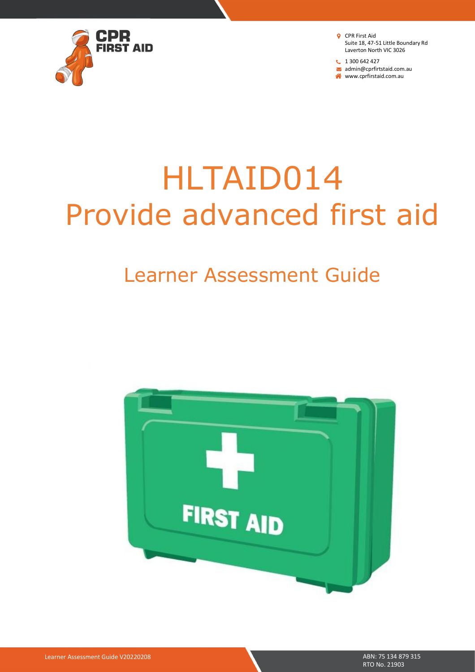

<sup>1</sup> 1 300 642 427 admin@cprfirtstaid.com.au www.cprfirstaid.com.au

# HLTAID014 Provide advanced first aid

## Learner Assessment Guide

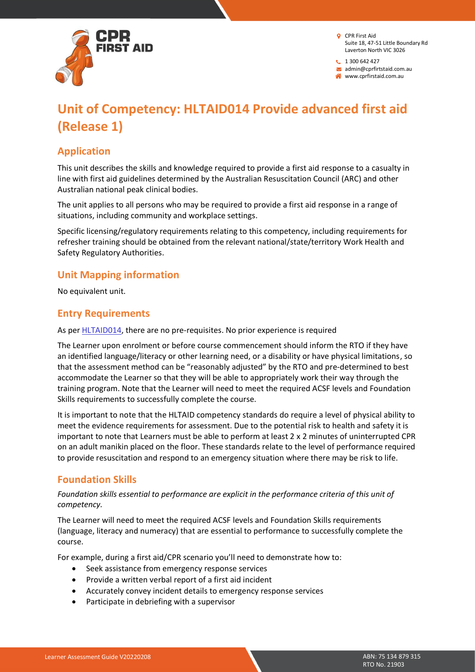

 $1300642427$ admin@cprfirtstaid.com.au

www.cprfirstaid.com.au

### **Unit of Competency: HLTAID014 Provide advanced first aid (Release 1)**

### **Application**

This unit describes the skills and knowledge required to provide a first aid response to a casualty in line with first aid guidelines determined by the Australian Resuscitation Council (ARC) and other Australian national peak clinical bodies.

The unit applies to all persons who may be required to provide a first aid response in a range of situations, including community and workplace settings.

Specific licensing/regulatory requirements relating to this competency, including requirements for refresher training should be obtained from the relevant national/state/territory Work Health and Safety Regulatory Authorities.

### **Unit Mapping information**

No equivalent unit.

### **Entry Requirements**

As pe[r HLTAID014,](https://training.gov.au/Training/Details/HLTAID014) there are no pre-requisites. No prior experience is required

The Learner upon enrolment or before course commencement should inform the RTO if they have an identified language/literacy or other learning need, or a disability or have physical limitations, so that the assessment method can be "reasonably adjusted" by the RTO and pre-determined to best accommodate the Learner so that they will be able to appropriately work their way through the training program. Note that the Learner will need to meet the required ACSF levels and Foundation Skills requirements to successfully complete the course.

It is important to note that the HLTAID competency standards do require a level of physical ability to meet the evidence requirements for assessment. Due to the potential risk to health and safety it is important to note that Learners must be able to perform at least 2 x 2 minutes of uninterrupted CPR on an adult manikin placed on the floor. These standards relate to the level of performance required to provide resuscitation and respond to an emergency situation where there may be risk to life.

### **Foundation Skills**

*Foundation skills essential to performance are explicit in the performance criteria of this unit of competency.*

The Learner will need to meet the required ACSF levels and Foundation Skills requirements (language, literacy and numeracy) that are essential to performance to successfully complete the course.

For example, during a first aid/CPR scenario you'll need to demonstrate how to:

- Seek assistance from emergency response services
- Provide a written verbal report of a first aid incident
- Accurately convey incident details to emergency response services
- Participate in debriefing with a supervisor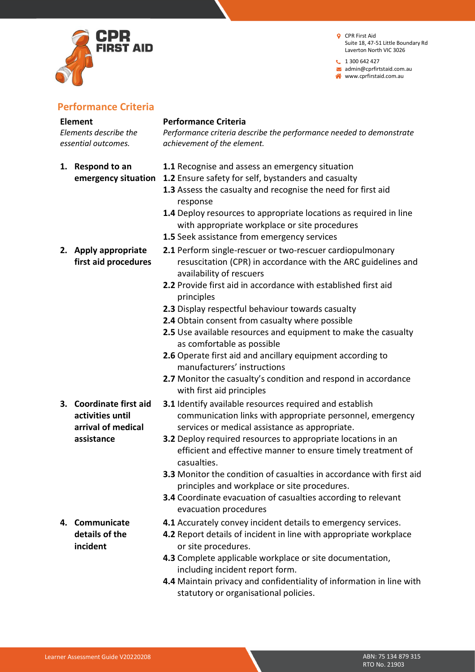

 $1300642427$ admin@cprfirtstaid.com.au www.cprfirstaid.com.au

### **Performance Criteria**

### **Element**

*Elements describe the essential outcomes.*

**1. Respond to an** 

**2. Apply appropriate first aid procedures**

### **Performance Criteria**

*Performance criteria describe the performance needed to demonstrate achievement of the element.*

- **1.1** Recognise and assess an emergency situation
- **emergency situation 1.2** Ensure safety for self, bystanders and casualty
	- **1.3** Assess the casualty and recognise the need for first aid response
	- **1.4** Deploy resources to appropriate locations as required in line with appropriate workplace or site procedures
	- **1.5** Seek assistance from emergency services
	- **2.1** Perform single-rescuer or two-rescuer cardiopulmonary resuscitation (CPR) in accordance with the ARC guidelines and availability of rescuers
	- **2.2** Provide first aid in accordance with established first aid principles
	- **2.3** Display respectful behaviour towards casualty
	- **2.4** Obtain consent from casualty where possible
	- **2.5** Use available resources and equipment to make the casualty as comfortable as possible
	- **2.6** Operate first aid and ancillary equipment according to manufacturers' instructions
	- **2.7** Monitor the casualty's condition and respond in accordance with first aid principles
	- **3.1** Identify available resources required and establish communication links with appropriate personnel, emergency services or medical assistance as appropriate.
		- **3.2** Deploy required resources to appropriate locations in an efficient and effective manner to ensure timely treatment of casualties.
		- **3.3** Monitor the condition of casualties in accordance with first aid principles and workplace or site procedures.
		- **3.4** Coordinate evacuation of casualties according to relevant evacuation procedures
		- **4.1** Accurately convey incident details to emergency services.
	- **4.2** Report details of incident in line with appropriate workplace or site procedures.
	- **4.3** Complete applicable workplace or site documentation, including incident report form.
	- **4.4** Maintain privacy and confidentiality of information in line with statutory or organisational policies.

**3. Coordinate first aid activities until arrival of medical assistance**

**4. Communicate details of the incident**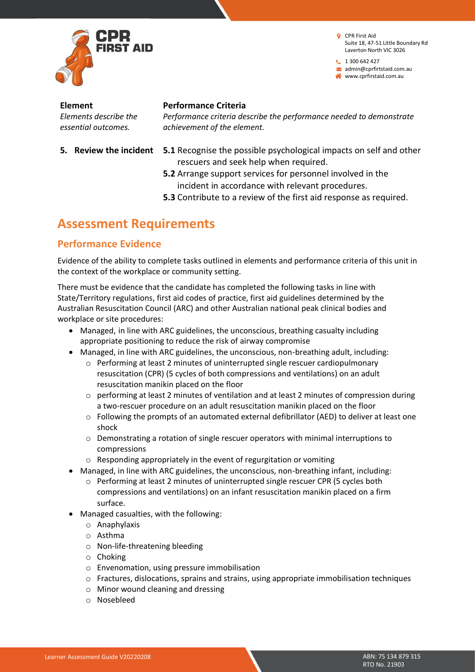

 $1300642427$ admin@cprfirtstaid.com.au www.cprfirstaid.com.au

**Element** *Elements describe the essential outcomes.*

- 
- **Performance Criteria**

*Performance criteria describe the performance needed to demonstrate achievement of the element.*

- **5. Review the incident 5.1** Recognise the possible psychological impacts on self and other rescuers and seek help when required.
	- **5.2** Arrange support services for personnel involved in the incident in accordance with relevant procedures.
	- **5.3** Contribute to a review of the first aid response as required.

### **Assessment Requirements**

### **Performance Evidence**

Evidence of the ability to complete tasks outlined in elements and performance criteria of this unit in the context of the workplace or community setting.

There must be evidence that the candidate has completed the following tasks in line with State/Territory regulations, first aid codes of practice, first aid guidelines determined by the Australian Resuscitation Council (ARC) and other Australian national peak clinical bodies and workplace or site procedures:

- Managed, in line with ARC guidelines, the unconscious, breathing casualty including appropriate positioning to reduce the risk of airway compromise
- Managed, in line with ARC guidelines, the unconscious, non-breathing adult, including:
	- o Performing at least 2 minutes of uninterrupted single rescuer cardiopulmonary resuscitation (CPR) (5 cycles of both compressions and ventilations) on an adult resuscitation manikin placed on the floor
	- $\circ$  performing at least 2 minutes of ventilation and at least 2 minutes of compression during a two-rescuer procedure on an adult resuscitation manikin placed on the floor
	- $\circ$  Following the prompts of an automated external defibrillator (AED) to deliver at least one shock
	- o Demonstrating a rotation of single rescuer operators with minimal interruptions to compressions
	- o Responding appropriately in the event of regurgitation or vomiting
- Managed, in line with ARC guidelines, the unconscious, non-breathing infant, including:
	- o Performing at least 2 minutes of uninterrupted single rescuer CPR (5 cycles both compressions and ventilations) on an infant resuscitation manikin placed on a firm surface.
- Managed casualties, with the following:
	- o Anaphylaxis
	- o Asthma
	- o Non-life-threatening bleeding
	- o Choking
	- o Envenomation, using pressure immobilisation
	- $\circ$  Fractures, dislocations, sprains and strains, using appropriate immobilisation techniques
	- o Minor wound cleaning and dressing
	- o Nosebleed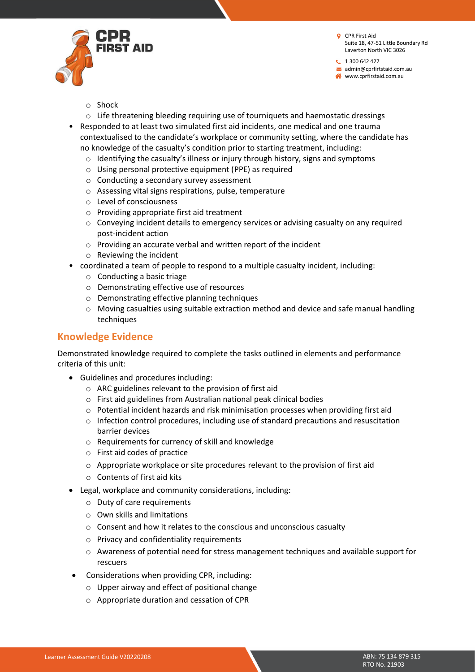

 $1300642427$ admin@cprfirtstaid.com.au www.cprfirstaid.com.au

- o Shock
- $\circ$  Life threatening bleeding requiring use of tourniquets and haemostatic dressings
- Responded to at least two simulated first aid incidents, one medical and one trauma contextualised to the candidate's workplace or community setting, where the candidate has no knowledge of the casualty's condition prior to starting treatment, including:
	- $\circ$  Identifying the casualty's illness or injury through history, signs and symptoms
	- o Using personal protective equipment (PPE) as required
	- o Conducting a secondary survey assessment
	- o Assessing vital signs respirations, pulse, temperature
	- o Level of consciousness
	- o Providing appropriate first aid treatment
	- $\circ$  Conveying incident details to emergency services or advising casualty on any required post-incident action
	- o Providing an accurate verbal and written report of the incident
	- o Reviewing the incident
- coordinated a team of people to respond to a multiple casualty incident, including:
	- o Conducting a basic triage
	- o Demonstrating effective use of resources
	- o Demonstrating effective planning techniques
	- o Moving casualties using suitable extraction method and device and safe manual handling techniques

### **Knowledge Evidence**

Demonstrated knowledge required to complete the tasks outlined in elements and performance criteria of this unit:

- Guidelines and procedures including:
	- o ARC guidelines relevant to the provision of first aid
	- o First aid guidelines from Australian national peak clinical bodies
	- o Potential incident hazards and risk minimisation processes when providing first aid
	- $\circ$  Infection control procedures, including use of standard precautions and resuscitation barrier devices
	- o Requirements for currency of skill and knowledge
	- o First aid codes of practice
	- o Appropriate workplace or site procedures relevant to the provision of first aid
	- o Contents of first aid kits
- Legal, workplace and community considerations, including:
	- o Duty of care requirements
	- o Own skills and limitations
	- o Consent and how it relates to the conscious and unconscious casualty
	- o Privacy and confidentiality requirements
	- o Awareness of potential need for stress management techniques and available support for rescuers
	- Considerations when providing CPR, including:
		- o Upper airway and effect of positional change
		- o Appropriate duration and cessation of CPR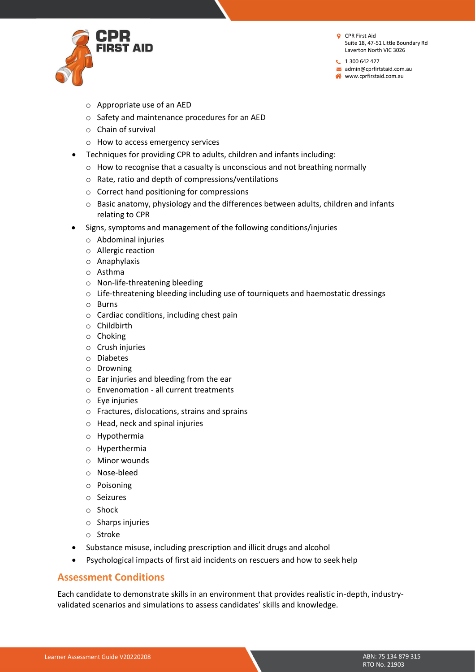

 $1300642427$ admin@cprfirtstaid.com.au www.cprfirstaid.com.au

- o Appropriate use of an AED
- o Safety and maintenance procedures for an AED
- o Chain of survival
- o How to access emergency services
- Techniques for providing CPR to adults, children and infants including:
	- o How to recognise that a casualty is unconscious and not breathing normally
	- o Rate, ratio and depth of compressions/ventilations
	- o Correct hand positioning for compressions
	- o Basic anatomy, physiology and the differences between adults, children and infants relating to CPR
- Signs, symptoms and management of the following conditions/injuries
	- o Abdominal injuries
	- o Allergic reaction
	- o Anaphylaxis
	- o Asthma
	- o Non-life-threatening bleeding
	- $\circ$  Life-threatening bleeding including use of tourniquets and haemostatic dressings
	- o Burns
	- o Cardiac conditions, including chest pain
	- o Childbirth
	- o Choking
	- o Crush injuries
	- o Diabetes
	- o Drowning
	- o Ear injuries and bleeding from the ear
	- o Envenomation all current treatments
	- o Eye injuries
	- o Fractures, dislocations, strains and sprains
	- o Head, neck and spinal injuries
	- o Hypothermia
	- o Hyperthermia
	- o Minor wounds
	- o Nose-bleed
	- o Poisoning
	- o Seizures
	- o Shock
	- o Sharps injuries
	- o Stroke
- Substance misuse, including prescription and illicit drugs and alcohol
- Psychological impacts of first aid incidents on rescuers and how to seek help

### **Assessment Conditions**

Each candidate to demonstrate skills in an environment that provides realistic in-depth, industryvalidated scenarios and simulations to assess candidates' skills and knowledge.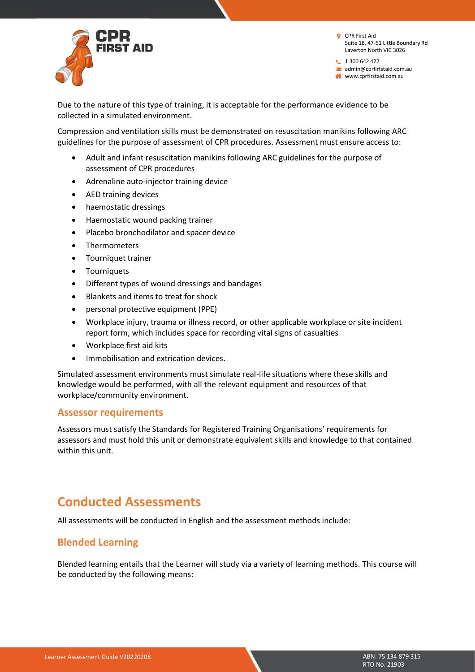

 $1300642427$ admin@cprfirtstaid.com.au www.cprfirstaid.com.au

Due to the nature of this type of training, it is acceptable for the performance evidence to be collected in a simulated environment.

Compression and ventilation skills must be demonstrated on resuscitation manikins following ARC guidelines for the purpose of assessment of CPR procedures. Assessment must ensure access to:

- Adult and infant resuscitation manikins following ARC guidelines for the purpose of assessment of CPR procedures
- Adrenaline auto-injector training device
- AED training devices
- haemostatic dressings
- Haemostatic wound packing trainer
- Placebo bronchodilator and spacer device
- Thermometers
- Tourniquet trainer
- Tourniquets
- Different types of wound dressings and bandages
- Blankets and items to treat for shock
- personal protective equipment (PPE)
- Workplace injury, trauma or illness record, or other applicable workplace or site incident report form, which includes space for recording vital signs of casualties
- Workplace first aid kits
- Immobilisation and extrication devices.

Simulated assessment environments must simulate real-life situations where these skills and knowledge would be performed, with all the relevant equipment and resources of that workplace/community environment.

### **Assessor requirements**

Assessors must satisfy the Standards for Registered Training Organisations' requirements for assessors and must hold this unit or demonstrate equivalent skills and knowledge to that contained within this unit.

### **Conducted Assessments**

All assessments will be conducted in English and the assessment methods include:

### **Blended Learning**

Blended learning entails that the Learner will study via a variety of learning methods. This course will be conducted by the following means: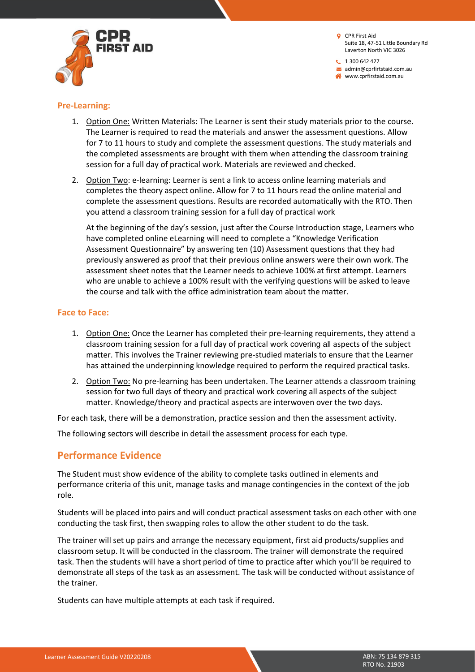$1300642427$ admin@cprfirtstaid.com.au www.cprfirstaid.com.au



### **Pre-Learning:**

- 1. Option One: Written Materials: The Learner is sent their study materials prior to the course. The Learner is required to read the materials and answer the assessment questions. Allow for 7 to 11 hours to study and complete the assessment questions. The study materials and the completed assessments are brought with them when attending the classroom training session for a full day of practical work. Materials are reviewed and checked.
- 2. Option Two: e-learning: Learner is sent a link to access online learning materials and completes the theory aspect online. Allow for 7 to 11 hours read the online material and complete the assessment questions. Results are recorded automatically with the RTO. Then you attend a classroom training session for a full day of practical work

At the beginning of the day's session, just after the Course Introduction stage, Learners who have completed online eLearning will need to complete a "Knowledge Verification Assessment Questionnaire" by answering ten (10) Assessment questions that they had previously answered as proof that their previous online answers were their own work. The assessment sheet notes that the Learner needs to achieve 100% at first attempt. Learners who are unable to achieve a 100% result with the verifying questions will be asked to leave the course and talk with the office administration team about the matter.

### **Face to Face:**

- 1. Option One: Once the Learner has completed their pre-learning requirements, they attend a classroom training session for a full day of practical work covering all aspects of the subject matter. This involves the Trainer reviewing pre-studied materials to ensure that the Learner has attained the underpinning knowledge required to perform the required practical tasks.
- 2. Option Two: No pre-learning has been undertaken. The Learner attends a classroom training session for two full days of theory and practical work covering all aspects of the subject matter. Knowledge/theory and practical aspects are interwoven over the two days.

For each task, there will be a demonstration, practice session and then the assessment activity.

The following sectors will describe in detail the assessment process for each type.

### **Performance Evidence**

The Student must show evidence of the ability to complete tasks outlined in elements and performance criteria of this unit, manage tasks and manage contingencies in the context of the job role.

Students will be placed into pairs and will conduct practical assessment tasks on each other with one conducting the task first, then swapping roles to allow the other student to do the task.

The trainer will set up pairs and arrange the necessary equipment, first aid products/supplies and classroom setup. It will be conducted in the classroom. The trainer will demonstrate the required task. Then the students will have a short period of time to practice after which you'll be required to demonstrate all steps of the task as an assessment. The task will be conducted without assistance of the trainer.

Students can have multiple attempts at each task if required.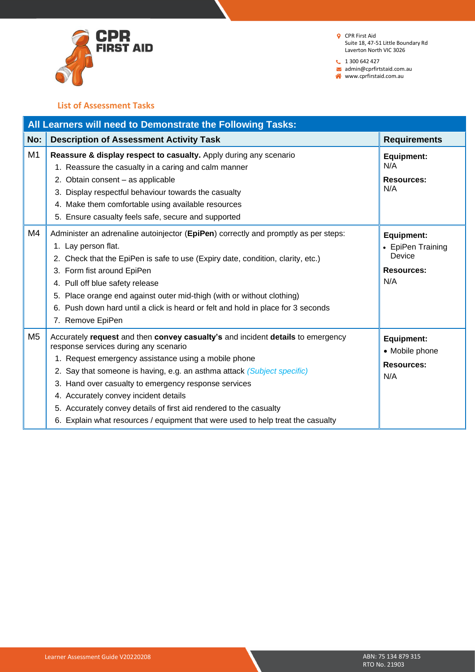

 $1300642427$ 

admin@cprfirtstaid.com.au

www.cprfirstaid.com.au

### **List of Assessment Tasks**

|                | All Learners will need to Demonstrate the Following Tasks:                                                                                                                                                                                                                                                                                                                                                                                                                                                            |                                                                              |
|----------------|-----------------------------------------------------------------------------------------------------------------------------------------------------------------------------------------------------------------------------------------------------------------------------------------------------------------------------------------------------------------------------------------------------------------------------------------------------------------------------------------------------------------------|------------------------------------------------------------------------------|
| No:            | <b>Description of Assessment Activity Task</b>                                                                                                                                                                                                                                                                                                                                                                                                                                                                        | <b>Requirements</b>                                                          |
| M <sub>1</sub> | Reassure & display respect to casualty. Apply during any scenario<br>1. Reassure the casualty in a caring and calm manner<br>2. Obtain consent - as applicable<br>3. Display respectful behaviour towards the casualty<br>4. Make them comfortable using available resources<br>5. Ensure casualty feels safe, secure and supported                                                                                                                                                                                   | <b>Equipment:</b><br>N/A<br><b>Resources:</b><br>N/A                         |
| M4             | Administer an adrenaline autoinjector (EpiPen) correctly and promptly as per steps:<br>1. Lay person flat.<br>2. Check that the EpiPen is safe to use (Expiry date, condition, clarity, etc.)<br>3. Form fist around EpiPen<br>4. Pull off blue safety release<br>5. Place orange end against outer mid-thigh (with or without clothing)<br>6. Push down hard until a click is heard or felt and hold in place for 3 seconds<br>7. Remove EpiPen                                                                      | <b>Equipment:</b><br>• EpiPen Training<br>Device<br><b>Resources:</b><br>N/A |
| M <sub>5</sub> | Accurately request and then convey casualty's and incident details to emergency<br>response services during any scenario<br>1. Request emergency assistance using a mobile phone<br>2. Say that someone is having, e.g. an asthma attack (Subject specific)<br>3. Hand over casualty to emergency response services<br>4. Accurately convey incident details<br>5. Accurately convey details of first aid rendered to the casualty<br>6. Explain what resources / equipment that were used to help treat the casualty | <b>Equipment:</b><br>• Mobile phone<br><b>Resources:</b><br>N/A              |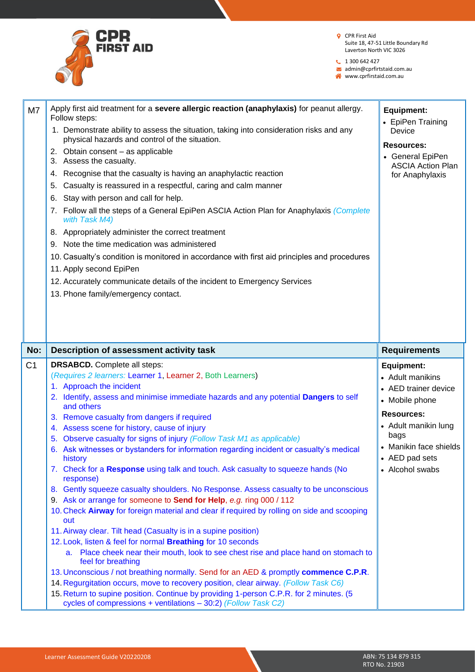

 $1300642427$ 

admin@cprfirtstaid.com.au

|                | Apply first aid treatment for a severe allergic reaction (anaphylaxis) for peanut allergy.<br>Follow steps:<br>1. Demonstrate ability to assess the situation, taking into consideration risks and any<br>physical hazards and control of the situation.<br>2. Obtain consent - as applicable<br>3. Assess the casualty.<br>Recognise that the casualty is having an anaphylactic reaction<br>4.<br>Casualty is reassured in a respectful, caring and calm manner<br>5.<br>Stay with person and call for help.<br>6.<br>Follow all the steps of a General EpiPen ASCIA Action Plan for Anaphylaxis (Complete<br>$\mathcal{L}$ .<br>with Task M4)<br>8. Appropriately administer the correct treatment<br>9. Note the time medication was administered<br>10. Casualty's condition is monitored in accordance with first aid principles and procedures<br>11. Apply second EpiPen | Equipment:<br>• EpiPen Training<br>Device<br><b>Resources:</b><br>• General EpiPen<br><b>ASCIA Action Plan</b><br>for Anaphylaxis |
|----------------|----------------------------------------------------------------------------------------------------------------------------------------------------------------------------------------------------------------------------------------------------------------------------------------------------------------------------------------------------------------------------------------------------------------------------------------------------------------------------------------------------------------------------------------------------------------------------------------------------------------------------------------------------------------------------------------------------------------------------------------------------------------------------------------------------------------------------------------------------------------------------------|-----------------------------------------------------------------------------------------------------------------------------------|
|                | 12. Accurately communicate details of the incident to Emergency Services<br>13. Phone family/emergency contact.                                                                                                                                                                                                                                                                                                                                                                                                                                                                                                                                                                                                                                                                                                                                                                  |                                                                                                                                   |
| No:            | Description of assessment activity task                                                                                                                                                                                                                                                                                                                                                                                                                                                                                                                                                                                                                                                                                                                                                                                                                                          | <b>Requirements</b>                                                                                                               |
| C <sub>1</sub> | <b>DRSABCD.</b> Complete all steps:<br>(Requires 2 learners: Learner 1, Learner 2, Both Learners)<br>1. Approach the incident                                                                                                                                                                                                                                                                                                                                                                                                                                                                                                                                                                                                                                                                                                                                                    | <b>Equipment:</b><br>• Adult manikins                                                                                             |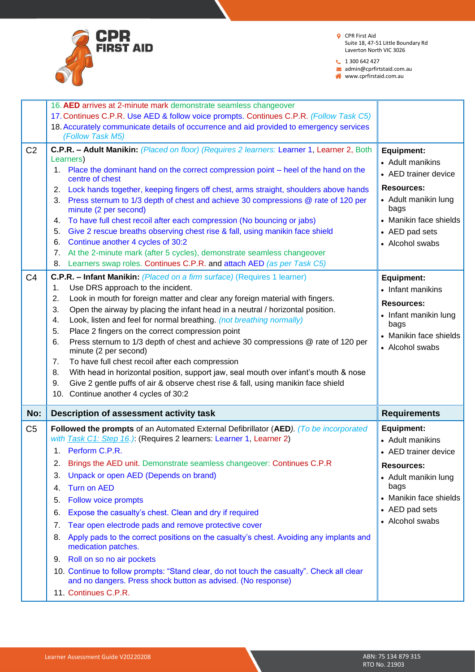

 $1300642427$ 

admin@cprfirtstaid.com.au

|                | 16. AED arrives at 2-minute mark demonstrate seamless changeover                                                                                                                                                    |                                                        |
|----------------|---------------------------------------------------------------------------------------------------------------------------------------------------------------------------------------------------------------------|--------------------------------------------------------|
|                | 17. Continues C.P.R. Use AED & follow voice prompts. Continues C.P.R. (Follow Task C5)                                                                                                                              |                                                        |
|                | 18. Accurately communicate details of occurrence and aid provided to emergency services                                                                                                                             |                                                        |
|                | (Follow Task M5)                                                                                                                                                                                                    |                                                        |
| C <sub>2</sub> | C.P.R. - Adult Manikin: (Placed on floor) (Requires 2 learners: Learner 1, Learner 2, Both<br>Learners)<br>1. Place the dominant hand on the correct compression point – heel of the hand on the<br>centre of chest | Equipment:<br>• Adult manikins<br>• AED trainer device |
|                | Lock hands together, keeping fingers off chest, arms straight, shoulders above hands<br>2.                                                                                                                          | <b>Resources:</b>                                      |
|                | Press sternum to 1/3 depth of chest and achieve 30 compressions @ rate of 120 per<br>3.<br>minute (2 per second)                                                                                                    | • Adult manikin lung<br>bags                           |
|                | To have full chest recoil after each compression (No bouncing or jabs)<br>4.                                                                                                                                        | • Manikin face shields                                 |
|                | Give 2 rescue breaths observing chest rise & fall, using manikin face shield<br>5.                                                                                                                                  | • AED pad sets                                         |
|                | Continue another 4 cycles of 30:2<br>6.                                                                                                                                                                             | • Alcohol swabs                                        |
|                | At the 2-minute mark (after 5 cycles), demonstrate seamless changeover<br>7.                                                                                                                                        |                                                        |
|                | Learners swap roles. Continues C.P.R. and attach AED (as per Task C5)<br>8.                                                                                                                                         |                                                        |
| C <sub>4</sub> | C.P.R. - Infant Manikin: (Placed on a firm surface) (Requires 1 learner)                                                                                                                                            | Equipment:                                             |
|                | Use DRS approach to the incident.<br>1.                                                                                                                                                                             | • Infant manikins                                      |
|                | Look in mouth for foreign matter and clear any foreign material with fingers.<br>2.                                                                                                                                 | <b>Resources:</b>                                      |
|                | Open the airway by placing the infant head in a neutral / horizontal position.<br>3.                                                                                                                                | • Infant manikin lung                                  |
|                | Look, listen and feel for normal breathing. (not breathing normally)<br>4.                                                                                                                                          | bags                                                   |
|                | Place 2 fingers on the correct compression point<br>5.                                                                                                                                                              | • Manikin face shields                                 |
|                | Press sternum to 1/3 depth of chest and achieve 30 compressions @ rate of 120 per<br>6.<br>minute (2 per second)                                                                                                    | • Alcohol swabs                                        |
|                |                                                                                                                                                                                                                     |                                                        |
|                | 7.<br>To have full chest recoil after each compression                                                                                                                                                              |                                                        |
|                | With head in horizontal position, support jaw, seal mouth over infant's mouth & nose<br>8.                                                                                                                          |                                                        |
|                | Give 2 gentle puffs of air & observe chest rise & fall, using manikin face shield<br>9.                                                                                                                             |                                                        |
|                | 10. Continue another 4 cycles of 30:2                                                                                                                                                                               |                                                        |
| No:            | Description of assessment activity task                                                                                                                                                                             | <b>Requirements</b>                                    |
| C <sub>5</sub> | Followed the prompts of an Automated External Defibrillator (AED). (To be incorporated                                                                                                                              | Equipment:                                             |
|                | with Task C1: Step 16.) (Requires 2 learners: Learner 1, Learner 2)                                                                                                                                                 | • Adult manikins                                       |
|                | 1. Perform C.P.R.                                                                                                                                                                                                   | • AED trainer device                                   |
|                | Brings the AED unit. Demonstrate seamless changeover: Continues C.P.R<br>2.                                                                                                                                         | <b>Resources:</b>                                      |
|                | Unpack or open AED (Depends on brand)<br>3.                                                                                                                                                                         |                                                        |
|                | Turn on AED<br>4.                                                                                                                                                                                                   | • Adult manikin lung<br>bags                           |
|                | Follow voice prompts<br>5.                                                                                                                                                                                          | • Manikin face shields                                 |
|                | Expose the casualty's chest. Clean and dry if required<br>6.                                                                                                                                                        | • AED pad sets                                         |
|                | 7.                                                                                                                                                                                                                  | • Alcohol swabs                                        |
|                | Tear open electrode pads and remove protective cover<br>Apply pads to the correct positions on the casualty's chest. Avoiding any implants and<br>8.<br>medication patches.                                         |                                                        |
|                | Roll on so no air pockets<br>9.                                                                                                                                                                                     |                                                        |
|                | 10. Continue to follow prompts: "Stand clear, do not touch the casualty". Check all clear<br>and no dangers. Press shock button as advised. (No response)                                                           |                                                        |
|                | 11. Continues C.P.R.                                                                                                                                                                                                |                                                        |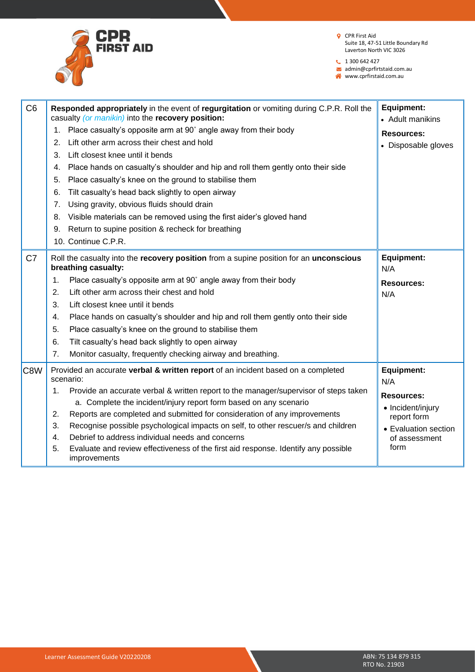

 $1300642427$ 

admin@cprfirtstaid.com.au

| C <sub>6</sub> | Responded appropriately in the event of regurgitation or vomiting during C.P.R. Roll the<br>casualty (or manikin) into the recovery position:                   | <b>Equipment:</b><br>• Adult manikins  |
|----------------|-----------------------------------------------------------------------------------------------------------------------------------------------------------------|----------------------------------------|
|                | Place casualty's opposite arm at 90° angle away from their body<br>1.                                                                                           | <b>Resources:</b>                      |
|                | Lift other arm across their chest and hold<br>2.                                                                                                                | • Disposable gloves                    |
|                | 3.<br>Lift closest knee until it bends                                                                                                                          |                                        |
|                | Place hands on casualty's shoulder and hip and roll them gently onto their side<br>4.                                                                           |                                        |
|                | Place casualty's knee on the ground to stabilise them<br>5.                                                                                                     |                                        |
|                | Tilt casualty's head back slightly to open airway<br>6.                                                                                                         |                                        |
|                | Using gravity, obvious fluids should drain<br>7.                                                                                                                |                                        |
|                | Visible materials can be removed using the first aider's gloved hand<br>8.                                                                                      |                                        |
|                | Return to supine position & recheck for breathing<br>9.                                                                                                         |                                        |
|                | 10. Continue C.P.R.                                                                                                                                             |                                        |
| C7             | Roll the casualty into the recovery position from a supine position for an unconscious<br>breathing casualty:                                                   | <b>Equipment:</b><br>N/A               |
|                | Place casualty's opposite arm at 90° angle away from their body<br>1.                                                                                           | <b>Resources:</b>                      |
|                | Lift other arm across their chest and hold<br>2.                                                                                                                | N/A                                    |
|                | 3.<br>Lift closest knee until it bends                                                                                                                          |                                        |
|                | Place hands on casualty's shoulder and hip and roll them gently onto their side<br>4.                                                                           |                                        |
|                | 5.<br>Place casualty's knee on the ground to stabilise them                                                                                                     |                                        |
|                | Tilt casualty's head back slightly to open airway<br>6.                                                                                                         |                                        |
|                | Monitor casualty, frequently checking airway and breathing.<br>7.                                                                                               |                                        |
| C8W            | Provided an accurate verbal & written report of an incident based on a completed<br>scenario:                                                                   | Equipment:<br>N/A                      |
|                | Provide an accurate verbal & written report to the manager/supervisor of steps taken<br>1.<br>a. Complete the incident/injury report form based on any scenario | <b>Resources:</b><br>• Incident/injury |
|                | Reports are completed and submitted for consideration of any improvements<br>2.                                                                                 | report form                            |
|                | Recognise possible psychological impacts on self, to other rescuer/s and children<br>3.                                                                         | • Evaluation section                   |
|                | Debrief to address individual needs and concerns<br>4.                                                                                                          | of assessment                          |
|                | 5.<br>Evaluate and review effectiveness of the first aid response. Identify any possible<br>improvements                                                        | form                                   |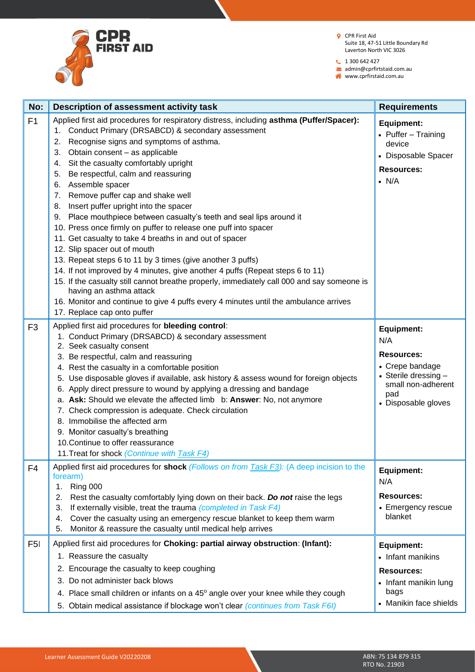

 $1300642427$ 

admin@cprfirtstaid.com.au www.cprfirstaid.com.au

| No:            | Description of assessment activity task                                                                                                                                                                                                                                                                                                                                                                                                                                                                                                                                                                                                                                                                                                                                                                                                                                                                                                                                                                                                                                                         | <b>Requirements</b>                                                                                                                          |
|----------------|-------------------------------------------------------------------------------------------------------------------------------------------------------------------------------------------------------------------------------------------------------------------------------------------------------------------------------------------------------------------------------------------------------------------------------------------------------------------------------------------------------------------------------------------------------------------------------------------------------------------------------------------------------------------------------------------------------------------------------------------------------------------------------------------------------------------------------------------------------------------------------------------------------------------------------------------------------------------------------------------------------------------------------------------------------------------------------------------------|----------------------------------------------------------------------------------------------------------------------------------------------|
| F1             | Applied first aid procedures for respiratory distress, including asthma (Puffer/Spacer):<br>Conduct Primary (DRSABCD) & secondary assessment<br>1.<br>Recognise signs and symptoms of asthma.<br>2.<br>Obtain consent - as applicable<br>3.<br>Sit the casualty comfortably upright<br>4.<br>Be respectful, calm and reassuring<br>5.<br>Assemble spacer<br>6.<br>Remove puffer cap and shake well<br>7.<br>Insert puffer upright into the spacer<br>8.<br>Place mouthpiece between casualty's teeth and seal lips around it<br>9.<br>10. Press once firmly on puffer to release one puff into spacer<br>11. Get casualty to take 4 breaths in and out of spacer<br>12. Slip spacer out of mouth<br>13. Repeat steps 6 to 11 by 3 times (give another 3 puffs)<br>14. If not improved by 4 minutes, give another 4 puffs (Repeat steps 6 to 11)<br>15. If the casualty still cannot breathe properly, immediately call 000 and say someone is<br>having an asthma attack<br>16. Monitor and continue to give 4 puffs every 4 minutes until the ambulance arrives<br>17. Replace cap onto puffer | <b>Equipment:</b><br>• Puffer - Training<br>device<br>• Disposable Spacer<br><b>Resources:</b><br>$\bullet$ N/A                              |
| F <sub>3</sub> | Applied first aid procedures for bleeding control:<br>1. Conduct Primary (DRSABCD) & secondary assessment<br>2. Seek casualty consent<br>3. Be respectful, calm and reassuring<br>4. Rest the casualty in a comfortable position<br>5. Use disposable gloves if available, ask history & assess wound for foreign objects<br>6. Apply direct pressure to wound by applying a dressing and bandage<br>a. Ask: Should we elevate the affected limb b: Answer: No, not anymore<br>7. Check compression is adequate. Check circulation<br>8. Immobilise the affected arm<br>9. Monitor casualty's breathing<br>10. Continue to offer reassurance<br>11. Treat for shock (Continue with Task F4)                                                                                                                                                                                                                                                                                                                                                                                                     | <b>Equipment:</b><br>N/A<br><b>Resources:</b><br>• Crepe bandage<br>• Sterile dressing -<br>small non-adherent<br>pad<br>• Disposable gloves |
| F4             | Applied first aid procedures for shock (Follows on from Task F3): (A deep incision to the<br>forearm)<br>Ring 000<br>1.<br>2.<br>Rest the casualty comfortably lying down on their back. Do not raise the legs<br>3.<br>If externally visible, treat the trauma (completed in Task F4)<br>Cover the casualty using an emergency rescue blanket to keep them warm<br>4.<br>Monitor & reassure the casualty until medical help arrives<br>5.                                                                                                                                                                                                                                                                                                                                                                                                                                                                                                                                                                                                                                                      | Equipment:<br>N/A<br><b>Resources:</b><br>• Emergency rescue<br>blanket                                                                      |
| F5I            | Applied first aid procedures for Choking: partial airway obstruction: (Infant):<br>1. Reassure the casualty<br>Encourage the casualty to keep coughing<br>2.<br>3. Do not administer back blows<br>4. Place small children or infants on a 45° angle over your knee while they cough<br>5. Obtain medical assistance if blockage won't clear (continues from Task F6I)                                                                                                                                                                                                                                                                                                                                                                                                                                                                                                                                                                                                                                                                                                                          | Equipment:<br>• Infant manikins<br><b>Resources:</b><br>• Infant manikin lung<br>bags<br>• Manikin face shields                              |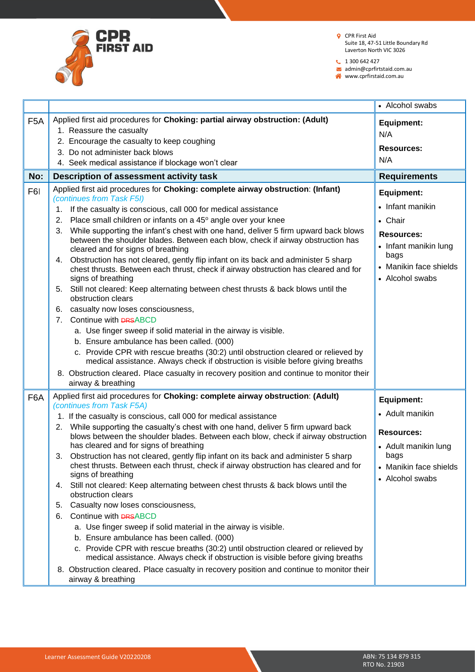

 $1300642427$ 

admin@cprfirtstaid.com.au

|                  |                                                                                                                                                                                                                    | • Alcohol swabs                                   |
|------------------|--------------------------------------------------------------------------------------------------------------------------------------------------------------------------------------------------------------------|---------------------------------------------------|
| F <sub>5</sub> A | Applied first aid procedures for Choking: partial airway obstruction: (Adult)<br>1. Reassure the casualty                                                                                                          | <b>Equipment:</b><br>N/A                          |
|                  | 2. Encourage the casualty to keep coughing<br>3. Do not administer back blows                                                                                                                                      | <b>Resources:</b>                                 |
|                  | 4. Seek medical assistance if blockage won't clear                                                                                                                                                                 | N/A                                               |
|                  |                                                                                                                                                                                                                    |                                                   |
| No:              | Description of assessment activity task                                                                                                                                                                            | <b>Requirements</b>                               |
| F6I              | Applied first aid procedures for Choking: complete airway obstruction: (Infant)<br>(continues from Task F5I)                                                                                                       | Equipment:<br>• Infant manikin                    |
|                  | If the casualty is conscious, call 000 for medical assistance<br>1.                                                                                                                                                |                                                   |
|                  | Place small children or infants on a 45° angle over your knee<br>2.                                                                                                                                                | • Chair                                           |
|                  | While supporting the infant's chest with one hand, deliver 5 firm upward back blows<br>3.<br>between the shoulder blades. Between each blow, check if airway obstruction has<br>cleared and for signs of breathing | <b>Resources:</b><br>• Infant manikin lung        |
|                  | 4. Obstruction has not cleared, gently flip infant on its back and administer 5 sharp<br>chest thrusts. Between each thrust, check if airway obstruction has cleared and for<br>signs of breathing                 | bags<br>• Manikin face shields<br>• Alcohol swabs |
|                  | 5. Still not cleared: Keep alternating between chest thrusts & back blows until the<br>obstruction clears                                                                                                          |                                                   |
|                  | 6. casualty now loses consciousness,                                                                                                                                                                               |                                                   |
|                  | Continue with <b>DRSABCD</b><br>7.                                                                                                                                                                                 |                                                   |
|                  | a. Use finger sweep if solid material in the airway is visible.                                                                                                                                                    |                                                   |
|                  | b. Ensure ambulance has been called. (000)                                                                                                                                                                         |                                                   |
|                  | c. Provide CPR with rescue breaths (30:2) until obstruction cleared or relieved by<br>medical assistance. Always check if obstruction is visible before giving breaths                                             |                                                   |
|                  | 8. Obstruction cleared. Place casualty in recovery position and continue to monitor their<br>airway & breathing                                                                                                    |                                                   |
| F6A              | Applied first aid procedures for Choking: complete airway obstruction: (Adult)<br>(continues from Task F5A)                                                                                                        | <b>Equipment:</b>                                 |
|                  | 1. If the casualty is conscious, call 000 for medical assistance                                                                                                                                                   | • Adult manikin                                   |
|                  | 2. While supporting the casualty's chest with one hand, deliver 5 firm upward back<br>blows between the shoulder blades. Between each blow, check if airway obstruction                                            | <b>Resources:</b>                                 |
|                  | has cleared and for signs of breathing                                                                                                                                                                             | • Adult manikin lung                              |
|                  | Obstruction has not cleared, gently flip infant on its back and administer 5 sharp<br>3.<br>chest thrusts. Between each thrust, check if airway obstruction has cleared and for<br>signs of breathing              | bags<br>• Manikin face shields                    |
|                  | Still not cleared: Keep alternating between chest thrusts & back blows until the<br>4.<br>obstruction clears                                                                                                       | • Alcohol swabs                                   |
|                  | Casualty now loses consciousness,<br>5.                                                                                                                                                                            |                                                   |
|                  | Continue with <b>DRSABCD</b><br>6.                                                                                                                                                                                 |                                                   |
|                  | a. Use finger sweep if solid material in the airway is visible.                                                                                                                                                    |                                                   |
|                  | b. Ensure ambulance has been called. (000)                                                                                                                                                                         |                                                   |
|                  | c. Provide CPR with rescue breaths (30:2) until obstruction cleared or relieved by<br>medical assistance. Always check if obstruction is visible before giving breaths                                             |                                                   |
|                  | 8. Obstruction cleared. Place casualty in recovery position and continue to monitor their<br>airway & breathing                                                                                                    |                                                   |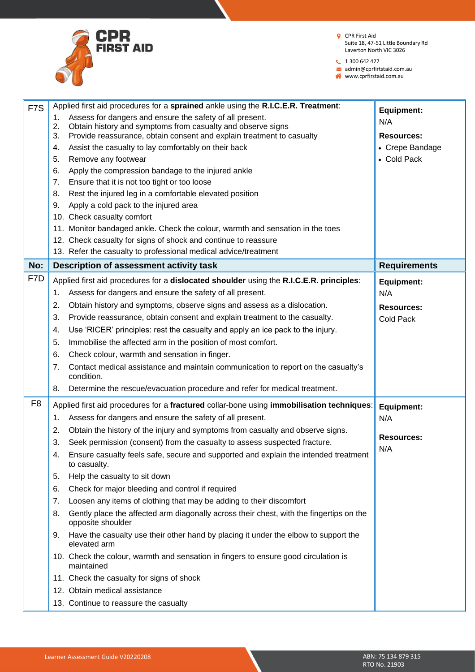

 $1300642427$ 

admin@cprfirtstaid.com.au

| F <sub>7</sub> S |          | Applied first aid procedures for a sprained ankle using the R.I.C.E.R. Treatment:                                                    | <b>Equipment:</b>   |
|------------------|----------|--------------------------------------------------------------------------------------------------------------------------------------|---------------------|
|                  | 1.       | Assess for dangers and ensure the safety of all present.                                                                             | N/A                 |
|                  | 2.<br>3. | Obtain history and symptoms from casualty and observe signs<br>Provide reassurance, obtain consent and explain treatment to casualty | <b>Resources:</b>   |
|                  | 4.       | Assist the casualty to lay comfortably on their back                                                                                 | • Crepe Bandage     |
|                  | 5.       | Remove any footwear                                                                                                                  | • Cold Pack         |
|                  | 6.       | Apply the compression bandage to the injured ankle                                                                                   |                     |
|                  | 7.       | Ensure that it is not too tight or too loose                                                                                         |                     |
|                  | 8.       | Rest the injured leg in a comfortable elevated position                                                                              |                     |
|                  | 9.       | Apply a cold pack to the injured area                                                                                                |                     |
|                  |          | 10. Check casualty comfort                                                                                                           |                     |
|                  |          | 11. Monitor bandaged ankle. Check the colour, warmth and sensation in the toes                                                       |                     |
|                  |          | 12. Check casualty for signs of shock and continue to reassure                                                                       |                     |
|                  |          | 13. Refer the casualty to professional medical advice/treatment                                                                      |                     |
| No:              |          | Description of assessment activity task                                                                                              | <b>Requirements</b> |
| F7D              |          |                                                                                                                                      |                     |
|                  |          | Applied first aid procedures for a dislocated shoulder using the R.I.C.E.R. principles:                                              | <b>Equipment:</b>   |
|                  | 1.       | Assess for dangers and ensure the safety of all present.                                                                             | N/A                 |
|                  | 2.       | Obtain history and symptoms, observe signs and assess as a dislocation.                                                              | <b>Resources:</b>   |
|                  | 3.       | Provide reassurance, obtain consent and explain treatment to the casualty.                                                           | <b>Cold Pack</b>    |
|                  | 4.       | Use 'RICER' principles: rest the casualty and apply an ice pack to the injury.                                                       |                     |
|                  | 5.       | Immobilise the affected arm in the position of most comfort.                                                                         |                     |
|                  | 6.       | Check colour, warmth and sensation in finger.                                                                                        |                     |
|                  | 7.       | Contact medical assistance and maintain communication to report on the casualty's<br>condition.                                      |                     |
|                  | 8.       | Determine the rescue/evacuation procedure and refer for medical treatment.                                                           |                     |
| F <sub>8</sub>   |          | Applied first aid procedures for a fractured collar-bone using immobilisation techniques:                                            | <b>Equipment:</b>   |
|                  | 1.       | Assess for dangers and ensure the safety of all present.                                                                             | N/A                 |
|                  | 2.       | Obtain the history of the injury and symptoms from casualty and observe signs.                                                       |                     |
|                  | 3.       | Seek permission (consent) from the casualty to assess suspected fracture.                                                            | <b>Resources:</b>   |
|                  | 4.       | Ensure casualty feels safe, secure and supported and explain the intended treatment<br>to casualty.                                  | N/A                 |
|                  | 5.       | Help the casualty to sit down                                                                                                        |                     |
|                  | 6.       | Check for major bleeding and control if required                                                                                     |                     |
|                  | 7.       | Loosen any items of clothing that may be adding to their discomfort                                                                  |                     |
|                  | 8.       | Gently place the affected arm diagonally across their chest, with the fingertips on the                                              |                     |
|                  |          | opposite shoulder                                                                                                                    |                     |
|                  | 9.       | Have the casualty use their other hand by placing it under the elbow to support the<br>elevated arm                                  |                     |
|                  |          | 10. Check the colour, warmth and sensation in fingers to ensure good circulation is<br>maintained                                    |                     |
|                  |          | 11. Check the casualty for signs of shock                                                                                            |                     |
|                  |          | 12. Obtain medical assistance                                                                                                        |                     |
|                  |          | 13. Continue to reassure the casualty                                                                                                |                     |
|                  |          |                                                                                                                                      |                     |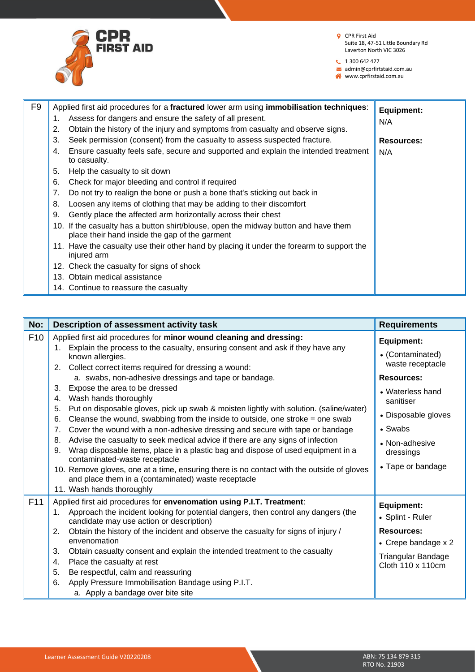

- **Q** CPR First Aid Suite 18, 47-51 Little Boundary Rd Laverton North VIC 3026
- **t** 1 300 642 427

admin@cprfirtstaid.com.au www.cprfirstaid.com.au

F9 Applied first aid procedures for a **fractured** lower arm using **immobilisation techniques**: 1. Assess for dangers and ensure the safety of all present. 2. Obtain the history of the injury and symptoms from casualty and observe signs. 3. Seek permission (consent) from the casualty to assess suspected fracture. 4. Ensure casualty feels safe, secure and supported and explain the intended treatment to casualty. 5. Help the casualty to sit down 6. Check for major bleeding and control if required 7. Do not try to realign the bone or push a bone that's sticking out back in 8. Loosen any items of clothing that may be adding to their discomfort 9. Gently place the affected arm horizontally across their chest 10. If the casualty has a button shirt/blouse, open the midway button and have them place their hand inside the gap of the garment 11. Have the casualty use their other hand by placing it under the forearm to support the injured arm 12. Check the casualty for signs of shock 13. Obtain medical assistance 14. Continue to reassure the casualty **Equipment:** N/A **Resources:** N/A

| No:             | Description of assessment activity task                                                                                                                                                                         | <b>Requirements</b>                      |
|-----------------|-----------------------------------------------------------------------------------------------------------------------------------------------------------------------------------------------------------------|------------------------------------------|
| F <sub>10</sub> | Applied first aid procedures for minor wound cleaning and dressing:<br>Explain the process to the casualty, ensuring consent and ask if they have any<br>1.                                                     | Equipment:                               |
|                 | known allergies.<br>Collect correct items required for dressing a wound:<br>2.                                                                                                                                  | • (Contaminated)<br>waste receptacle     |
|                 | a. swabs, non-adhesive dressings and tape or bandage.                                                                                                                                                           | <b>Resources:</b>                        |
|                 | Expose the area to be dressed<br>3.<br>Wash hands thoroughly<br>4.                                                                                                                                              | • Waterless hand<br>sanitiser            |
|                 | Put on disposable gloves, pick up swab & moisten lightly with solution. (saline/water)<br>5.<br>Cleanse the wound, swabbing from the inside to outside, one stroke $=$ one swab<br>6.                           | • Disposable gloves                      |
|                 | Cover the wound with a non-adhesive dressing and secure with tape or bandage<br>7.                                                                                                                              | • Swabs                                  |
|                 | Advise the casualty to seek medical advice if there are any signs of infection<br>8.<br>Wrap disposable items, place in a plastic bag and dispose of used equipment in a<br>9.<br>contaminated-waste receptacle | • Non-adhesive<br>dressings              |
|                 | 10. Remove gloves, one at a time, ensuring there is no contact with the outside of gloves<br>and place them in a (contaminated) waste receptacle<br>11. Wash hands thoroughly                                   | • Tape or bandage                        |
| F11             | Applied first aid procedures for envenomation using P.I.T. Treatment:                                                                                                                                           | Equipment:                               |
|                 | Approach the incident looking for potential dangers, then control any dangers (the<br>1.<br>candidate may use action or description)                                                                            | • Splint - Ruler                         |
|                 | Obtain the history of the incident and observe the casualty for signs of injury /<br>2.<br>envenomation                                                                                                         | <b>Resources:</b><br>• Crepe bandage x 2 |
|                 | 3.<br>Obtain casualty consent and explain the intended treatment to the casualty                                                                                                                                | Triangular Bandage                       |
|                 | Place the casualty at rest<br>4.                                                                                                                                                                                | Cloth 110 x 110cm                        |
|                 | Be respectful, calm and reassuring<br>5.                                                                                                                                                                        |                                          |
|                 | Apply Pressure Immobilisation Bandage using P.I.T.<br>6.                                                                                                                                                        |                                          |
|                 | a. Apply a bandage over bite site                                                                                                                                                                               |                                          |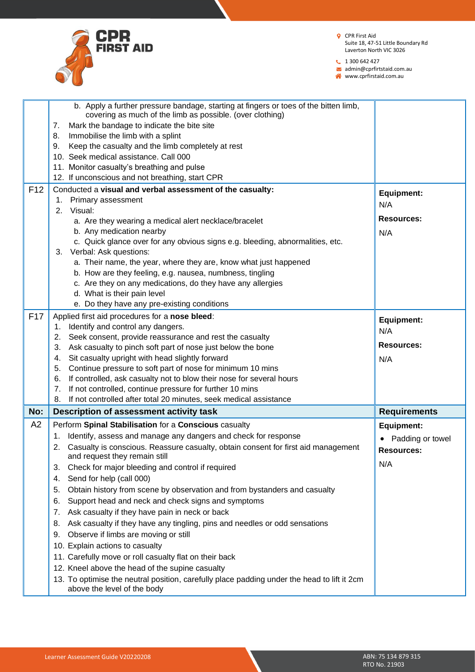

 $1300642427$ 

admin@cprfirtstaid.com.au

|                 | b. Apply a further pressure bandage, starting at fingers or toes of the bitten limb,<br>covering as much of the limb as possible. (over clothing)<br>Mark the bandage to indicate the bite site<br>7.<br>Immobilise the limb with a splint<br>8.<br>Keep the casualty and the limb completely at rest<br>9.<br>10. Seek medical assistance, Call 000<br>11. Monitor casualty's breathing and pulse<br>12. If unconscious and not breathing, start CPR |                     |
|-----------------|-------------------------------------------------------------------------------------------------------------------------------------------------------------------------------------------------------------------------------------------------------------------------------------------------------------------------------------------------------------------------------------------------------------------------------------------------------|---------------------|
| F <sub>12</sub> | Conducted a visual and verbal assessment of the casualty:<br>1. Primary assessment                                                                                                                                                                                                                                                                                                                                                                    | <b>Equipment:</b>   |
|                 | 2. Visual:                                                                                                                                                                                                                                                                                                                                                                                                                                            | N/A                 |
|                 | a. Are they wearing a medical alert necklace/bracelet                                                                                                                                                                                                                                                                                                                                                                                                 | <b>Resources:</b>   |
|                 | b. Any medication nearby                                                                                                                                                                                                                                                                                                                                                                                                                              | N/A                 |
|                 | c. Quick glance over for any obvious signs e.g. bleeding, abnormalities, etc.<br>3. Verbal: Ask questions:                                                                                                                                                                                                                                                                                                                                            |                     |
|                 | a. Their name, the year, where they are, know what just happened                                                                                                                                                                                                                                                                                                                                                                                      |                     |
|                 | b. How are they feeling, e.g. nausea, numbness, tingling                                                                                                                                                                                                                                                                                                                                                                                              |                     |
|                 | c. Are they on any medications, do they have any allergies                                                                                                                                                                                                                                                                                                                                                                                            |                     |
|                 | d. What is their pain level                                                                                                                                                                                                                                                                                                                                                                                                                           |                     |
|                 | e. Do they have any pre-existing conditions                                                                                                                                                                                                                                                                                                                                                                                                           |                     |
| F <sub>17</sub> | Applied first aid procedures for a nose bleed:                                                                                                                                                                                                                                                                                                                                                                                                        | <b>Equipment:</b>   |
|                 | Identify and control any dangers.<br>1.<br>Seek consent, provide reassurance and rest the casualty<br>2.                                                                                                                                                                                                                                                                                                                                              | N/A                 |
|                 | Ask casualty to pinch soft part of nose just below the bone<br>3.                                                                                                                                                                                                                                                                                                                                                                                     | <b>Resources:</b>   |
|                 | Sit casualty upright with head slightly forward<br>4.                                                                                                                                                                                                                                                                                                                                                                                                 | N/A                 |
|                 | Continue pressure to soft part of nose for minimum 10 mins<br>5.                                                                                                                                                                                                                                                                                                                                                                                      |                     |
|                 | 6. If controlled, ask casualty not to blow their nose for several hours                                                                                                                                                                                                                                                                                                                                                                               |                     |
|                 | If not controlled, continue pressure for further 10 mins<br>7.                                                                                                                                                                                                                                                                                                                                                                                        |                     |
|                 | If not controlled after total 20 minutes, seek medical assistance<br>8.                                                                                                                                                                                                                                                                                                                                                                               |                     |
| No:             | Description of assessment activity task                                                                                                                                                                                                                                                                                                                                                                                                               | <b>Requirements</b> |
| A2              | Perform Spinal Stabilisation for a Conscious casualty                                                                                                                                                                                                                                                                                                                                                                                                 | <b>Equipment:</b>   |
|                 | Identify, assess and manage any dangers and check for response<br>1.<br>Casualty is conscious. Reassure casualty, obtain consent for first aid management                                                                                                                                                                                                                                                                                             | Padding or towel    |
|                 | and request they remain still                                                                                                                                                                                                                                                                                                                                                                                                                         | Resources:          |
|                 | Check for major bleeding and control if required<br>3.                                                                                                                                                                                                                                                                                                                                                                                                | N/A                 |
|                 | Send for help (call 000)<br>4.                                                                                                                                                                                                                                                                                                                                                                                                                        |                     |
|                 | Obtain history from scene by observation and from bystanders and casualty<br>5.                                                                                                                                                                                                                                                                                                                                                                       |                     |
|                 | Support head and neck and check signs and symptoms<br>6.                                                                                                                                                                                                                                                                                                                                                                                              |                     |
|                 | Ask casualty if they have pain in neck or back<br>7.                                                                                                                                                                                                                                                                                                                                                                                                  |                     |
|                 | Ask casualty if they have any tingling, pins and needles or odd sensations<br>8.                                                                                                                                                                                                                                                                                                                                                                      |                     |
|                 | Observe if limbs are moving or still<br>9.                                                                                                                                                                                                                                                                                                                                                                                                            |                     |
|                 | 10. Explain actions to casualty<br>11. Carefully move or roll casualty flat on their back                                                                                                                                                                                                                                                                                                                                                             |                     |
|                 | 12. Kneel above the head of the supine casualty                                                                                                                                                                                                                                                                                                                                                                                                       |                     |
|                 | 13. To optimise the neutral position, carefully place padding under the head to lift it 2cm                                                                                                                                                                                                                                                                                                                                                           |                     |
|                 | above the level of the body                                                                                                                                                                                                                                                                                                                                                                                                                           |                     |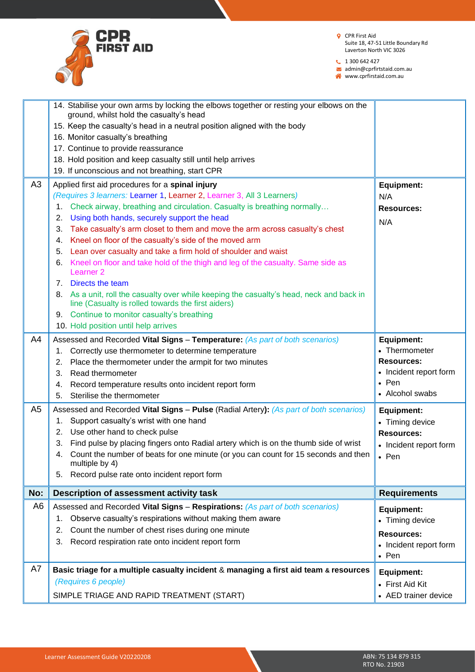

 $1300642427$ 

admin@cprfirtstaid.com.au

|                | 14. Stabilise your own arms by locking the elbows together or resting your elbows on the<br>ground, whilst hold the casualty's head                                              |                                         |
|----------------|----------------------------------------------------------------------------------------------------------------------------------------------------------------------------------|-----------------------------------------|
|                | 15. Keep the casualty's head in a neutral position aligned with the body                                                                                                         |                                         |
|                | 16. Monitor casualty's breathing                                                                                                                                                 |                                         |
|                | 17. Continue to provide reassurance                                                                                                                                              |                                         |
|                | 18. Hold position and keep casualty still until help arrives                                                                                                                     |                                         |
|                | 19. If unconscious and not breathing, start CPR                                                                                                                                  |                                         |
| A3             | Applied first aid procedures for a spinal injury                                                                                                                                 |                                         |
|                | (Requires 3 learners: Learner 1, Learner 2, Learner 3, All 3 Learners)                                                                                                           | <b>Equipment:</b><br>N/A                |
|                | Check airway, breathing and circulation. Casualty is breathing normally<br>1.                                                                                                    | <b>Resources:</b>                       |
|                | Using both hands, securely support the head<br>2.                                                                                                                                |                                         |
|                | Take casualty's arm closet to them and move the arm across casualty's chest<br>3.                                                                                                | N/A                                     |
|                | Kneel on floor of the casualty's side of the moved arm<br>4.                                                                                                                     |                                         |
|                | Lean over casualty and take a firm hold of shoulder and waist<br>5.                                                                                                              |                                         |
|                | Kneel on floor and take hold of the thigh and leg of the casualty. Same side as<br>6.                                                                                            |                                         |
|                | Learner <sub>2</sub>                                                                                                                                                             |                                         |
|                | Directs the team<br>$7_{\scriptscriptstyle{\sim}}$                                                                                                                               |                                         |
|                | As a unit, roll the casualty over while keeping the casualty's head, neck and back in<br>8.<br>line (Casualty is rolled towards the first aiders)                                |                                         |
|                | Continue to monitor casualty's breathing<br>9.                                                                                                                                   |                                         |
|                | 10. Hold position until help arrives                                                                                                                                             |                                         |
| A4             | Assessed and Recorded Vital Signs - Temperature: (As part of both scenarios)                                                                                                     | <b>Equipment:</b>                       |
|                | Correctly use thermometer to determine temperature<br>1.                                                                                                                         | • Thermometer                           |
|                | Place the thermometer under the armpit for two minutes<br>2.                                                                                                                     | <b>Resources:</b>                       |
|                | Read thermometer<br>3.                                                                                                                                                           | • Incident report form                  |
|                | Record temperature results onto incident report form<br>4.                                                                                                                       | $\bullet$ Pen                           |
|                | Sterilise the thermometer<br>5.                                                                                                                                                  | • Alcohol swabs                         |
|                |                                                                                                                                                                                  |                                         |
| A <sub>5</sub> |                                                                                                                                                                                  |                                         |
|                | Assessed and Recorded Vital Signs - Pulse (Radial Artery): (As part of both scenarios)<br>1.                                                                                     | <b>Equipment:</b>                       |
|                | Support casualty's wrist with one hand<br>2.                                                                                                                                     | • Timing device                         |
|                | Use other hand to check pulse<br>3.                                                                                                                                              | <b>Resources:</b>                       |
|                | Find pulse by placing fingers onto Radial artery which is on the thumb side of wrist<br>Count the number of beats for one minute (or you can count for 15 seconds and then<br>4. | • Incident report form<br>• Pen         |
|                | multiple by 4)<br>Record pulse rate onto incident report form<br>5.                                                                                                              |                                         |
| No:            | Description of assessment activity task                                                                                                                                          | <b>Requirements</b>                     |
| A <sub>6</sub> | Assessed and Recorded Vital Signs - Respirations: (As part of both scenarios)                                                                                                    |                                         |
|                | Observe casualty's respirations without making them aware<br>1.                                                                                                                  | <b>Equipment:</b>                       |
|                | Count the number of chest rises during one minute<br>2.                                                                                                                          | • Timing device                         |
|                | Record respiration rate onto incident report form<br>3.                                                                                                                          | <b>Resources:</b>                       |
|                |                                                                                                                                                                                  | • Incident report form                  |
|                |                                                                                                                                                                                  | $\bullet$ Pen                           |
| A7             | Basic triage for a multiple casualty incident & managing a first aid team & resources                                                                                            | <b>Equipment:</b>                       |
|                | (Requires 6 people)<br>SIMPLE TRIAGE AND RAPID TREATMENT (START)                                                                                                                 | • First Aid Kit<br>• AED trainer device |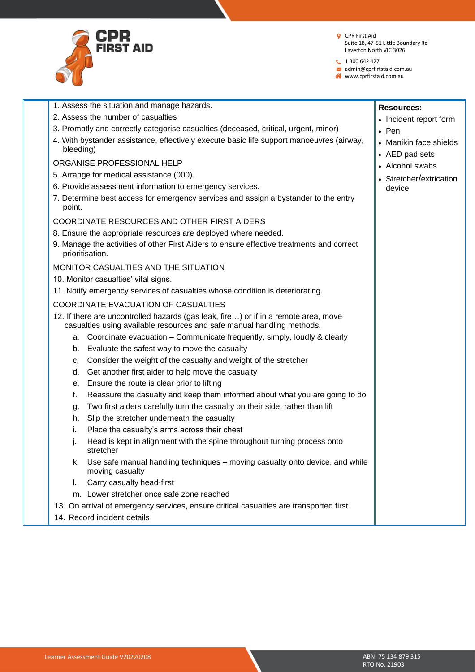

**Resources:**

• Pen

• Incident report form

• Manikin face shields

• Stretcher/extrication

• AED pad sets • Alcohol swabs

device

**t** 1 300 642 427

admin@cprfirtstaid.com.au

www.cprfirstaid.com.au

- 1. Assess the situation and manage hazards.
- 2. Assess the number of casualties
- 3. Promptly and correctly categorise casualties (deceased, critical, urgent, minor)
- 4. With bystander assistance, effectively execute basic life support manoeuvres (airway, bleeding)

### ORGANISE PROFESSIONAL HELP

- 5. Arrange for medical assistance (000).
- 6. Provide assessment information to emergency services.
- 7. Determine best access for emergency services and assign a bystander to the entry point.

#### COORDINATE RESOURCES AND OTHER FIRST AIDERS

- 8. Ensure the appropriate resources are deployed where needed.
- 9. Manage the activities of other First Aiders to ensure effective treatments and correct prioritisation.

### MONITOR CASUALTIES AND THE SITUATION

- 10. Monitor casualties' vital signs.
- 11. Notify emergency services of casualties whose condition is deteriorating.

#### COORDINATE EVACUATION OF CASUALTIES

- 12. If there are uncontrolled hazards (gas leak, fire…) or if in a remote area, move casualties using available resources and safe manual handling methods.
	- a. Coordinate evacuation Communicate frequently, simply, loudly & clearly
	- b. Evaluate the safest way to move the casualty
	- c. Consider the weight of the casualty and weight of the stretcher
	- d. Get another first aider to help move the casualty
	- e. Ensure the route is clear prior to lifting
	- f. Reassure the casualty and keep them informed about what you are going to do
	- g. Two first aiders carefully turn the casualty on their side, rather than lift
	- h. Slip the stretcher underneath the casualty
	- i. Place the casualty's arms across their chest
	- j. Head is kept in alignment with the spine throughout turning process onto stretcher
	- k. Use safe manual handling techniques moving casualty onto device, and while moving casualty
	- l. Carry casualty head-first
	- m. Lower stretcher once safe zone reached
- 13. On arrival of emergency services, ensure critical casualties are transported first.
- 14. Record incident details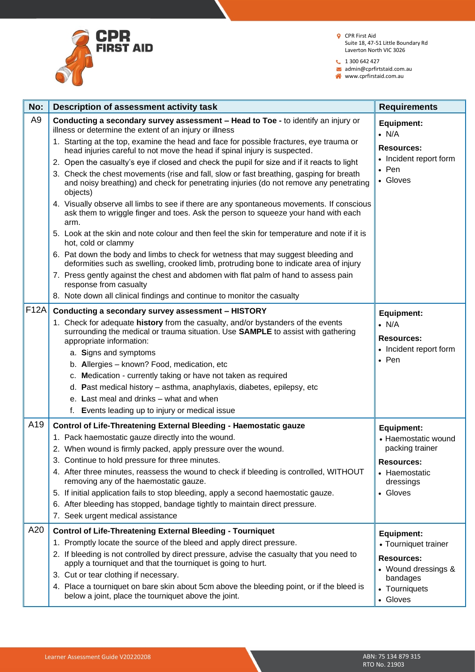

 $1300642427$ 

admin@cprfirtstaid.com.au www.cprfirstaid.com.au

| No:            | Description of assessment activity task                                                                                                                                                                 | <b>Requirements</b>                      |
|----------------|---------------------------------------------------------------------------------------------------------------------------------------------------------------------------------------------------------|------------------------------------------|
| A <sub>9</sub> | Conducting a secondary survey assessment - Head to Toe - to identify an injury or<br>illness or determine the extent of an injury or illness                                                            | Equipment:<br>$\bullet$ N/A              |
|                | 1. Starting at the top, examine the head and face for possible fractures, eye trauma or<br>head injuries careful to not move the head if spinal injury is suspected.                                    | <b>Resources:</b>                        |
|                | 2. Open the casualty's eye if closed and check the pupil for size and if it reacts to light                                                                                                             | • Incident report form<br>$\bullet$ Pen  |
|                | 3. Check the chest movements (rise and fall, slow or fast breathing, gasping for breath<br>and noisy breathing) and check for penetrating injuries (do not remove any penetrating<br>objects)           | • Gloves                                 |
|                | 4. Visually observe all limbs to see if there are any spontaneous movements. If conscious<br>ask them to wriggle finger and toes. Ask the person to squeeze your hand with each<br>arm.                 |                                          |
|                | 5. Look at the skin and note colour and then feel the skin for temperature and note if it is<br>hot, cold or clammy                                                                                     |                                          |
|                | 6. Pat down the body and limbs to check for wetness that may suggest bleeding and<br>deformities such as swelling, crooked limb, protruding bone to indicate area of injury                             |                                          |
|                | 7. Press gently against the chest and abdomen with flat palm of hand to assess pain<br>response from casualty                                                                                           |                                          |
|                | 8. Note down all clinical findings and continue to monitor the casualty                                                                                                                                 |                                          |
| <b>F12A</b>    | Conducting a secondary survey assessment - HISTORY                                                                                                                                                      | <b>Equipment:</b>                        |
|                | 1. Check for adequate history from the casualty, and/or bystanders of the events<br>surrounding the medical or trauma situation. Use <b>SAMPLE</b> to assist with gathering<br>appropriate information: | $\bullet$ N/A<br><b>Resources:</b>       |
|                | a. Signs and symptoms                                                                                                                                                                                   | • Incident report form                   |
|                | b. Allergies - known? Food, medication, etc                                                                                                                                                             | $\bullet$ Pen                            |
|                | c. Medication - currently taking or have not taken as required                                                                                                                                          |                                          |
|                | d. Past medical history – asthma, anaphylaxis, diabetes, epilepsy, etc                                                                                                                                  |                                          |
|                | e. Last meal and drinks - what and when                                                                                                                                                                 |                                          |
|                | f. Events leading up to injury or medical issue                                                                                                                                                         |                                          |
| A19            | Control of Life-Threatening External Bleeding - Haemostatic gauze                                                                                                                                       | <b>Equipment:</b>                        |
|                | 1. Pack haemostatic gauze directly into the wound.                                                                                                                                                      | • Haemostatic wound                      |
|                | 2. When wound is firmly packed, apply pressure over the wound.                                                                                                                                          | packing trainer                          |
|                | 3. Continue to hold pressure for three minutes.                                                                                                                                                         | <b>Resources:</b>                        |
|                | 4. After three minutes, reassess the wound to check if bleeding is controlled, WITHOUT<br>removing any of the haemostatic gauze.                                                                        | • Haemostatic<br>dressings               |
|                | 5. If initial application fails to stop bleeding, apply a second haemostatic gauze.                                                                                                                     | • Gloves                                 |
|                | 6. After bleeding has stopped, bandage tightly to maintain direct pressure.                                                                                                                             |                                          |
|                | 7. Seek urgent medical assistance                                                                                                                                                                       |                                          |
| A20            | <b>Control of Life-Threatening External Bleeding - Tourniquet</b>                                                                                                                                       | <b>Equipment:</b>                        |
|                | 1. Promptly locate the source of the bleed and apply direct pressure.                                                                                                                                   | • Tourniquet trainer                     |
|                | 2. If bleeding is not controlled by direct pressure, advise the casualty that you need to<br>apply a tourniquet and that the tourniquet is going to hurt.                                               | <b>Resources:</b><br>• Wound dressings & |
|                | 3. Cut or tear clothing if necessary.                                                                                                                                                                   | bandages                                 |
|                | 4. Place a tourniquet on bare skin about 5cm above the bleeding point, or if the bleed is<br>below a joint, place the tourniquet above the joint.                                                       | • Tourniquets<br>• Gloves                |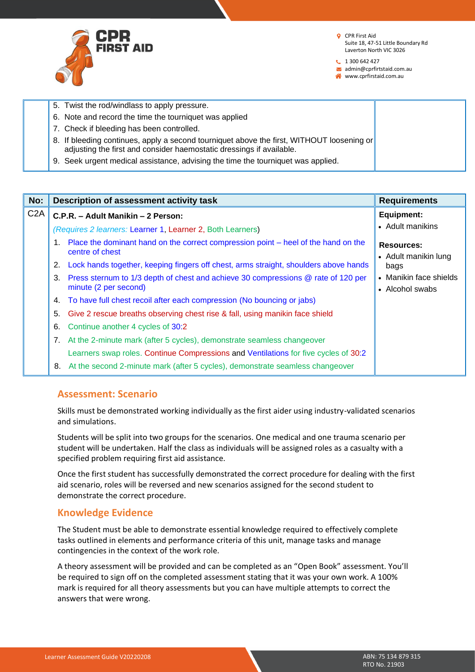

**t** 1 300 642 427

admin@cprfirtstaid.com.au

www.cprfirstaid.com.au

|  | 5. Twist the rod/windlass to apply pressure.                                                                                                                      |  |
|--|-------------------------------------------------------------------------------------------------------------------------------------------------------------------|--|
|  | 6. Note and record the time the tourniquet was applied                                                                                                            |  |
|  | 7. Check if bleeding has been controlled.                                                                                                                         |  |
|  | 8. If bleeding continues, apply a second tourniquet above the first, WITHOUT loosening or<br>adjusting the first and consider haemostatic dressings if available. |  |
|  | 9. Seek urgent medical assistance, advising the time the tourniquet was applied.                                                                                  |  |

| No:              |                                                            | Description of assessment activity task                                                                    | <b>Requirements</b>                       |
|------------------|------------------------------------------------------------|------------------------------------------------------------------------------------------------------------|-------------------------------------------|
| C <sub>2</sub> A | C.P.R. - Adult Manikin - 2 Person:                         |                                                                                                            | Equipment:                                |
|                  | (Requires 2 learners: Learner 1, Learner 2, Both Learners) |                                                                                                            | • Adult manikins                          |
|                  | 1.                                                         | Place the dominant hand on the correct compression point – heel of the hand on the<br>centre of chest      | <b>Resources:</b><br>• Adult manikin lung |
|                  |                                                            | 2. Lock hands together, keeping fingers off chest, arms straight, shoulders above hands                    | bags                                      |
|                  | 3.                                                         | Press sternum to 1/3 depth of chest and achieve 30 compressions @ rate of 120 per<br>minute (2 per second) | • Manikin face shields<br>• Alcohol swabs |
|                  | 4.                                                         | To have full chest recoil after each compression (No bouncing or jabs)                                     |                                           |
|                  | 5.                                                         | Give 2 rescue breaths observing chest rise & fall, using manikin face shield                               |                                           |
|                  | 6.                                                         | Continue another 4 cycles of 30:2                                                                          |                                           |
|                  |                                                            | 7. At the 2-minute mark (after 5 cycles), demonstrate seamless changeover                                  |                                           |
|                  |                                                            | Learners swap roles. Continue Compressions and Ventilations for five cycles of 30:2                        |                                           |
|                  | 8.                                                         | At the second 2-minute mark (after 5 cycles), demonstrate seamless changeover                              |                                           |

### **Assessment: Scenario**

Skills must be demonstrated working individually as the first aider using industry-validated scenarios and simulations.

Students will be split into two groups for the scenarios. One medical and one trauma scenario per student will be undertaken. Half the class as individuals will be assigned roles as a casualty with a specified problem requiring first aid assistance.

Once the first student has successfully demonstrated the correct procedure for dealing with the first aid scenario, roles will be reversed and new scenarios assigned for the second student to demonstrate the correct procedure.

### **Knowledge Evidence**

The Student must be able to demonstrate essential knowledge required to effectively complete tasks outlined in elements and performance criteria of this unit, manage tasks and manage contingencies in the context of the work role.

A theory assessment will be provided and can be completed as an "Open Book" assessment. You'll be required to sign off on the completed assessment stating that it was your own work. A 100% mark is required for all theory assessments but you can have multiple attempts to correct the answers that were wrong.